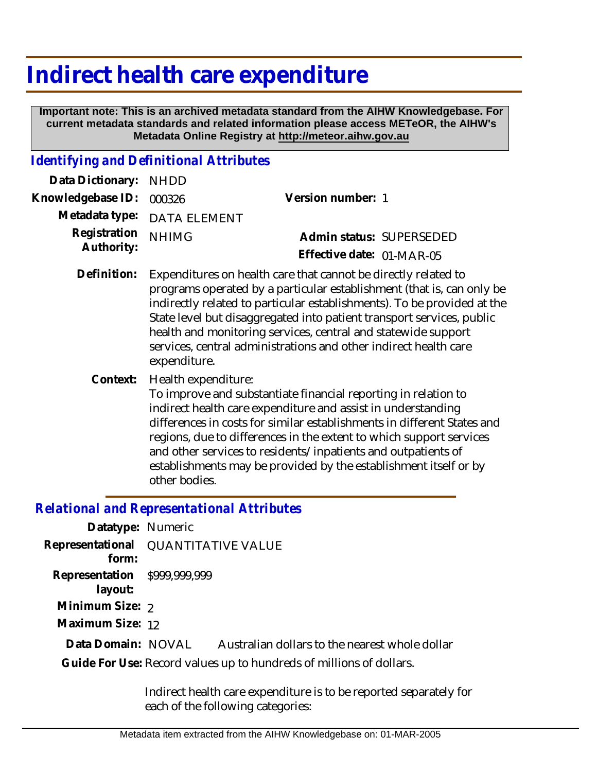## **Indirect health care expenditure**

 **Important note: This is an archived metadata standard from the AIHW Knowledgebase. For current metadata standards and related information please access METeOR, the AIHW's Metadata Online Registry at http://meteor.aihw.gov.au**

## *Identifying and Definitional Attributes*

| Data Dictionary: NHDD    |                             |                                                                                         |  |
|--------------------------|-----------------------------|-----------------------------------------------------------------------------------------|--|
| Knowledgebase ID: 000326 |                             | Version number: 1                                                                       |  |
|                          | Metadata type: DATA ELEMENT |                                                                                         |  |
| Registration NHIMG       |                             | Admin status: SUPERSEDED                                                                |  |
| Authority:               |                             | Effective date: 01-MAR-05                                                               |  |
|                          |                             | Definition — Fournality are a called the constitution of leveling attended and also the |  |

- Definition: Expenditures on health care that cannot be directly related to programs operated by a particular establishment (that is, can only be indirectly related to particular establishments). To be provided at the State level but disaggregated into patient transport services, public health and monitoring services, central and statewide support services, central administrations and other indirect health care expenditure.
	- Health expenditure: **Context:**

To improve and substantiate financial reporting in relation to indirect health care expenditure and assist in understanding differences in costs for similar establishments in different States and regions, due to differences in the extent to which support services and other services to residents/inpatients and outpatients of establishments may be provided by the establishment itself or by other bodies.

## *Relational and Representational Attributes*

| Datatype: Numeric                                                   |                                                |  |
|---------------------------------------------------------------------|------------------------------------------------|--|
| Representational<br>form:                                           | <b>QUANTITATIVE VALUE</b>                      |  |
| Representation \$999,999,999<br>layout:                             |                                                |  |
| Minimum Size: 2                                                     |                                                |  |
| Maximum Size: 12                                                    |                                                |  |
| Data Domain: NOVAL                                                  | Australian dollars to the nearest whole dollar |  |
| Guide For Use: Record values up to hundreds of millions of dollars. |                                                |  |
|                                                                     |                                                |  |

Indirect health care expenditure is to be reported separately for each of the following categories: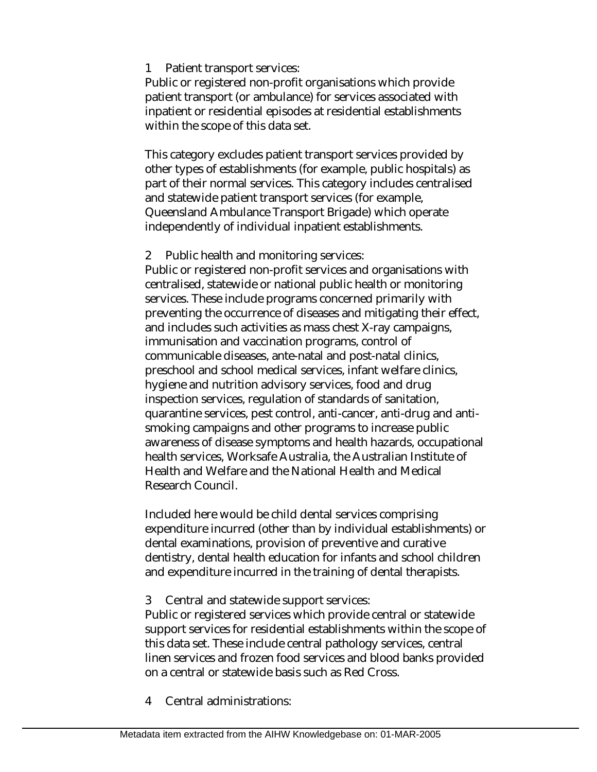1 Patient transport services:

Public or registered non-profit organisations which provide patient transport (or ambulance) for services associated with inpatient or residential episodes at residential establishments within the scope of this data set.

This category excludes patient transport services provided by other types of establishments (for example, public hospitals) as part of their normal services. This category includes centralised and statewide patient transport services (for example, Queensland Ambulance Transport Brigade) which operate independently of individual inpatient establishments.

2 Public health and monitoring services:

Public or registered non-profit services and organisations with centralised, statewide or national public health or monitoring services. These include programs concerned primarily with preventing the occurrence of diseases and mitigating their effect, and includes such activities as mass chest X-ray campaigns, immunisation and vaccination programs, control of communicable diseases, ante-natal and post-natal clinics, preschool and school medical services, infant welfare clinics, hygiene and nutrition advisory services, food and drug inspection services, regulation of standards of sanitation, quarantine services, pest control, anti-cancer, anti-drug and antismoking campaigns and other programs to increase public awareness of disease symptoms and health hazards, occupational health services, Worksafe Australia, the Australian Institute of Health and Welfare and the National Health and Medical Research Council.

Included here would be child dental services comprising expenditure incurred (other than by individual establishments) or dental examinations, provision of preventive and curative dentistry, dental health education for infants and school children and expenditure incurred in the training of dental therapists.

3 Central and statewide support services:

Public or registered services which provide central or statewide support services for residential establishments within the scope of this data set. These include central pathology services, central linen services and frozen food services and blood banks provided on a central or statewide basis such as Red Cross.

4 Central administrations: